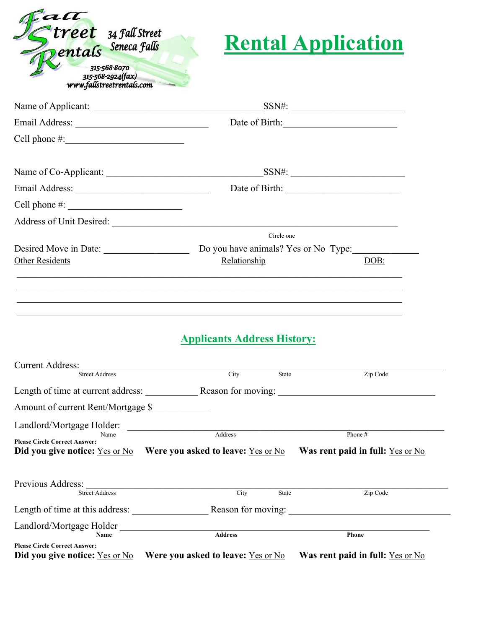

# **Rental Application**

|                                                                        |                                                                                                    | Date of Birth: 2008                  |  |
|------------------------------------------------------------------------|----------------------------------------------------------------------------------------------------|--------------------------------------|--|
| Cell phone $\#$ :                                                      |                                                                                                    |                                      |  |
|                                                                        |                                                                                                    |                                      |  |
|                                                                        |                                                                                                    |                                      |  |
| Cell phone $\#$ :                                                      |                                                                                                    |                                      |  |
|                                                                        |                                                                                                    |                                      |  |
|                                                                        | Circle one                                                                                         |                                      |  |
| Desired Move in Date:                                                  |                                                                                                    | Do you have animals? Yes or No Type: |  |
| <b>Other Residents</b>                                                 | Relationship                                                                                       | DOB:                                 |  |
| Current Address:<br><b>Street Address</b>                              | City State                                                                                         | Zip Code                             |  |
|                                                                        | Length of time at current address: Reason for moving:                                              |                                      |  |
| Amount of current Rent/Mortgage \$                                     |                                                                                                    |                                      |  |
|                                                                        | Landlord/Mortgage Holder:                                                                          |                                      |  |
| <b>Please Circle Correct Answer:</b>                                   |                                                                                                    | Phone #                              |  |
|                                                                        | Did you give notice: Yes or No Were you asked to leave: Yes or No Was rent paid in full: Yes or No |                                      |  |
| Previous Address:                                                      |                                                                                                    |                                      |  |
| <b>Street Address</b>                                                  | City<br>State                                                                                      | Zip Code                             |  |
| Length of time at this address:                                        |                                                                                                    | Reason for moving:                   |  |
| Landlord/Mortgage Holder<br>Name                                       | <b>Address</b>                                                                                     | Phone                                |  |
| <b>Please Circle Correct Answer:</b><br>Did you give notice: Yes or No | Were you asked to leave: Yes or No                                                                 | Was rent paid in full: Yes or No     |  |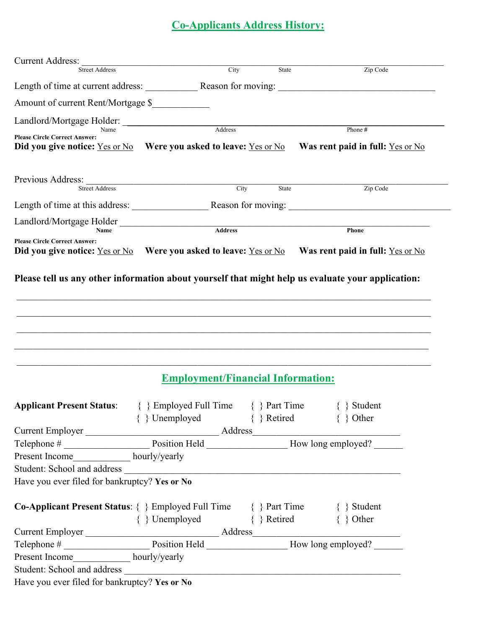## **Co-Applicants Address History:**

| <b>Current Address:</b><br><b>Street Address</b>                                                                                                                                                                                                           |                                      | City<br>State                                                                                            |                                        | Zip Code |
|------------------------------------------------------------------------------------------------------------------------------------------------------------------------------------------------------------------------------------------------------------|--------------------------------------|----------------------------------------------------------------------------------------------------------|----------------------------------------|----------|
| Length of time at current address: Reason for moving: ___________________________                                                                                                                                                                          |                                      |                                                                                                          |                                        |          |
|                                                                                                                                                                                                                                                            |                                      |                                                                                                          |                                        |          |
| Amount of current Rent/Mortgage \$                                                                                                                                                                                                                         |                                      |                                                                                                          |                                        |          |
| Landlord/Mortgage Holder:                                                                                                                                                                                                                                  |                                      | Address                                                                                                  |                                        |          |
| Name<br><b>Please Circle Correct Answer:</b><br>Did you give notice: <u>Yes or No</u> Were you asked to leave: Yes or No Was rent paid in full: Yes or No                                                                                                  |                                      |                                                                                                          | Phone #                                |          |
| <b>Street Address</b>                                                                                                                                                                                                                                      |                                      | City<br>State                                                                                            |                                        | Zip Code |
|                                                                                                                                                                                                                                                            |                                      |                                                                                                          |                                        |          |
| Landlord/Mortgage Holder                                                                                                                                                                                                                                   |                                      |                                                                                                          |                                        |          |
| Name                                                                                                                                                                                                                                                       |                                      | <b>Address</b>                                                                                           | Phone                                  |          |
| <b>Please Circle Correct Answer:</b><br>Did you give notice: <u>Yes or No</u> Were you asked to leave: Yes or No Was rent paid in full: Yes or No                                                                                                          |                                      |                                                                                                          |                                        |          |
|                                                                                                                                                                                                                                                            |                                      |                                                                                                          |                                        |          |
|                                                                                                                                                                                                                                                            |                                      | <b>Employment/Financial Information:</b>                                                                 |                                        |          |
| <b>Applicant Present Status:</b>                                                                                                                                                                                                                           | $\{\}$ Employed Full Time            |                                                                                                          | $\{\ \}$ Part Time<br>$\{\ \}$ Student |          |
|                                                                                                                                                                                                                                                            | { } Unemployed { } Retired { } Other |                                                                                                          |                                        |          |
|                                                                                                                                                                                                                                                            |                                      |                                                                                                          |                                        |          |
|                                                                                                                                                                                                                                                            |                                      | Current Employer<br>Telephone #<br>Position Held<br>Position Held<br>Position Held<br>Row long employed? |                                        |          |
| Present Income______________ hourly/yearly                                                                                                                                                                                                                 |                                      |                                                                                                          |                                        |          |
| Student: School and address                                                                                                                                                                                                                                |                                      |                                                                                                          |                                        |          |
| Have you ever filed for bankruptcy? Yes or No                                                                                                                                                                                                              |                                      |                                                                                                          |                                        |          |
| Co-Applicant Present Status: { } Employed Full Time { } Part Time { } Student                                                                                                                                                                              |                                      |                                                                                                          |                                        |          |
|                                                                                                                                                                                                                                                            | { } Unemployed { } Retired { } Other |                                                                                                          |                                        |          |
|                                                                                                                                                                                                                                                            |                                      |                                                                                                          |                                        |          |
| Current Employer<br>Telephone #<br>Position Held<br>Present Income<br>Present Income<br>Nourly/yearly<br>Resent Income<br>Present Income<br>Present Income<br>Present Income<br>Present Income<br>Present Income<br>Present Income<br>Present Income<br>Pr |                                      |                                                                                                          |                                        |          |
|                                                                                                                                                                                                                                                            |                                      |                                                                                                          |                                        |          |
|                                                                                                                                                                                                                                                            |                                      |                                                                                                          |                                        |          |
| Have you ever filed for bankruptcy? Yes or No                                                                                                                                                                                                              |                                      |                                                                                                          |                                        |          |